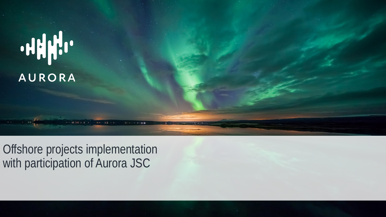

Offshore projects implementation with participation of Aurora JSC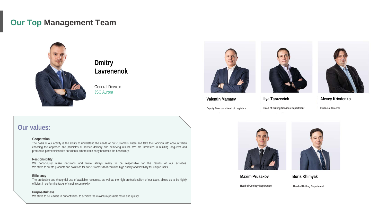## **Our Top Management Team**



**Dmitry Lavrenenok**

General Director JSC Aurora







**Ilya Tarazevich**

**Financial Director**

**Alexey Krivdenko**

## **Valentin Mamaev**

**Deputy Director – Head of Logistics**

**Head of Drilling Services Department**





**Maxim Prusakov**

**Boris Khimyak**

**Head of Geology Department**

**Head of Drilling Department**

### **Our values:**

#### **Cooperation**

The basis of our activity is the ability to understand the needs of our customers, listen and take their opinion into account when choosing the approach and principles of service delivery and achieving results. We are interested in building long-term and productive partnerships with our clients, where each party becomes the beneficiary.

#### **Responsibility**

We consciously make decisions and we're always ready to be responsible for the results of our activities. We strive to create products and solutions for our customers that combine high quality and flexibility for unique tasks.

#### **Efficiency**

The productive and thoughtful use of available resources, as well as the high professionalism of our team, allows us to be highly efficient in performing tasks of varying complexity.

#### **Purposefulness**

We strive to be leaders in our activities, to achieve the maximum possible result and quality.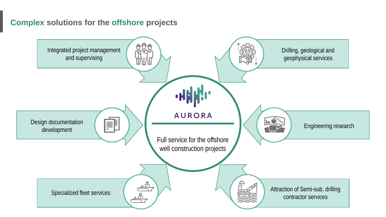## **Complex solutions for the offshore projects**

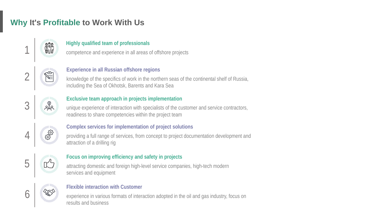# **Why It's Profitable to Work With Us**



### **Highly qualified team of professionals**

1 competence and experience in all areas of offshore projects



#### **Experience in all Russian offshore regions**

knowledge of the specifics of work in the northern seas of the continental shelf of Russia, including the Sea of Okhotsk, Barents and Kara Sea



### **Exclusive team approach in projects implementation**

unique experience of interaction with specialists of the customer and service contractors, readiness to share competencies within the project team



### **Complex services for implementation of project solutions**

providing a full range of services, from concept to project documentation development and attraction of a drilling rig



### **Focus on improving efficiency and safety in projects**

attracting domestic and foreign high-level service companies, high-tech modern services and equipment



#### **Flexible interaction with Customer**

experience in various formats of interaction adopted in the oil and gas industry, focus on results and business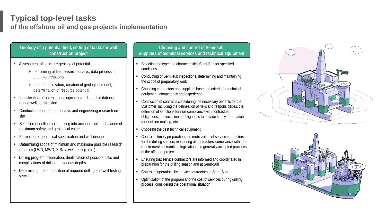### **Typical top-level tasks of the offshore oil and gas projects implementation**

#### **Geology of a potential field, setting of tasks for well construction project**

- Assessment of structure geological potential
	- $\triangleright$  performing of field seismic surveys, data processing and interpretationо
	- $\triangleright$  data generalization, creation of geological model, determination of resource potential
- **IDENTIFICATE:** Identification of potential geological hazards and limitations during well construction
- Conducting engineering surveys and engineering research on site
- Selection of drilling point, taking into account optimal balance of maximum safety and geological value
- **Formation of geological specification and well design**
- Determining scope of minimum and maximum possible research program (LWD, MWD, X-Ray, well-testing, etc.)
- Drilling program preparation, dentification of possible risks and complications of drilling on various depths
- Determining the composition of required drilling and well-testing services

#### **Choosing and control of Semi-sub, suppliers of technical services and technical equipment**

- Selecting the type and characteristics Semi-Sub for specified conditions
- Conducting of Semi-sub inspections, determining and maintaining the scope of preparatory work
- Choosing contractors and suppliers based on criteria for technical equipment, competency and experience
- Conclusion of contracts considering the necessary benefits for the Customer, including the delineation of risks and responsibilities, the definition of sanctions for non-compliance with contractual obligations, the inclusion of obligations to provide timely information for decision-making, etc.
- Choosing the best technical equipment
- Control of timely preparation and mobilization of service contractors for the drilling season, monitoring of contractors' compliance with the requirements of maritime legislation and generally accepted practices of the offshore projects
- Ensuring that service contractors are informed and coordinated in preparation for the drilling season and at Semi-Sub
- Control of operations by service contractors at Semi-Sub
- Optimization of the program and the cost of services during drilling process, considering the operational situation



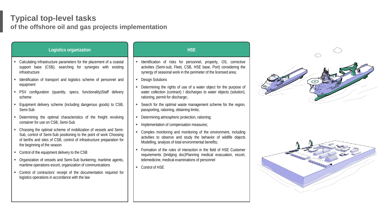## **Typical top-level tasks of the offshore oil and gas projects implementation**

| <b>Logistics organization</b>                                                                                                                                                                                                                  | <b>HSE</b>                                                                                                                                                                                              |
|------------------------------------------------------------------------------------------------------------------------------------------------------------------------------------------------------------------------------------------------|---------------------------------------------------------------------------------------------------------------------------------------------------------------------------------------------------------|
| Calculating infrastructure parameters for the placement of a coastal<br>support base (CSB), searching for synergies with existing<br>infrastructure                                                                                            | Identification of risks for personnel, property, OS, corrective<br>activities (Semi-sub, Fleet, CSB, HSE base, Port) considering the<br>synergy of seasonal work in the perimeter of the licensed area; |
| Identification of transport and logistics scheme of personnel and<br>equipment                                                                                                                                                                 | <b>Design Solutions</b>                                                                                                                                                                                 |
| PSV configuration (quantity, specs, functionality) Staff delivery<br>scheme                                                                                                                                                                    | Determining the rights of use of a water object for the purpose of<br>water collection (contract) / discharges to water objects (solution),<br>rationing, permit for discharge;.                        |
| Equipment delivery scheme (including dangerous goods) to CSB,<br>Semi-Sub                                                                                                                                                                      | Search for the optimal waste management scheme for the region,<br>passporting, rationing, obtaining limits;                                                                                             |
| Determining the optimal characteristics of the freight revolving<br>container for use on CSB, Semi-Sub                                                                                                                                         | Determining atmospheric protection, rationing;<br>٠                                                                                                                                                     |
|                                                                                                                                                                                                                                                | Implementation of compensation measures;<br>٠                                                                                                                                                           |
| Choosing the optimal scheme of mobilization of vessels and Semi-<br>Sub, control of Semi-Sub positioning to the point of work Choosing<br>of berths and sites of CSB, control of infrastructure preparation for<br>the beginning of the season | Complex monitoring and monitoring of the environment, including<br>٠<br>activities to observe and study the behavior of wildlife objects<br>Modelling, analysis of total environmental benefits;        |
| Control of the equipment delivery to the CSB                                                                                                                                                                                                   | Formation of the rules of interaction in the field of HSE Customer<br>٠<br>requirements (bridging doc)Planning medical evacuation, escort,                                                              |
| Organization of vessels and Semi-Sub bunkering, maritime agents,                                                                                                                                                                               | telemedicine, medical examinations of personnel                                                                                                                                                         |
| maritime operations escort, organization of communications                                                                                                                                                                                     | Control of HSE<br>٠                                                                                                                                                                                     |
| Control of contractors' receipt of the documentation required for<br>٠<br>logistics operations in accordance with the law                                                                                                                      |                                                                                                                                                                                                         |
|                                                                                                                                                                                                                                                |                                                                                                                                                                                                         |



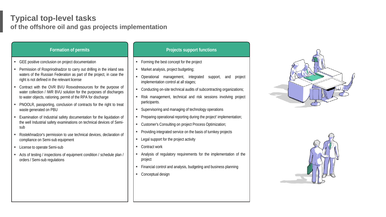## **Typical top-level tasks of the offshore oil and gas projects implementation**

| <b>Formation of permits</b>                                                                                                                                                                        | <b>Projects support functions</b>                                                                                                                     |
|----------------------------------------------------------------------------------------------------------------------------------------------------------------------------------------------------|-------------------------------------------------------------------------------------------------------------------------------------------------------|
| GEE positive conclusion on project documentation                                                                                                                                                   | Forming the best concept for the project                                                                                                              |
| Permission of Rosprirodnadzor to carry out drilling in the inland sea<br>waters of the Russian Federation as part of the project, in case the<br>right is not defined in the relevant license      | Market analysis, project budgeting;<br>п<br>Operational management, integrated<br>support,<br>project<br>and<br>implementation control at all stages; |
| Contract with the OVR BVU Rosvodresources for the purpose of<br>water collection / IWR BVU solution for the purposes of discharges<br>to water objects, rationing, permit of the RPA for discharge | Conducting on-site technical audits of subcontracting organizations;<br>Risk management, technical and risk sessions involving project                |
| PNOOLR, passporting, conclusion of contracts for the right to treat<br>waste generated on PBU                                                                                                      | participants.<br>Supervisoring and managing of technology operations                                                                                  |
| Examination of Industrial safety documentation for the liquidation of<br>the well Industrial safety examinations on technical devices of Semi-<br>sub                                              | Preparing operational reporting during the project' implementation;<br>Customer's Consulting on project Process Optimization;<br>٠                    |
| Rostekhnadzor's permission to use technical devices, declaration of<br>compliance on Semi-sub equipment                                                                                            | Providing integrated service on the basis of turnkey projects<br>Legal support for the project activity                                               |
| License to operate Semi-sub                                                                                                                                                                        | Contract work                                                                                                                                         |
| Acts of testing / inspections of equipment condition / schedule plan /<br>orders / Semi-sub regulations                                                                                            | Analysis of regulatory requirements for the implementation of the<br>project                                                                          |
|                                                                                                                                                                                                    | Financial control and analysis, budgeting and business planning                                                                                       |
|                                                                                                                                                                                                    | Conceptual design                                                                                                                                     |
|                                                                                                                                                                                                    |                                                                                                                                                       |
|                                                                                                                                                                                                    |                                                                                                                                                       |